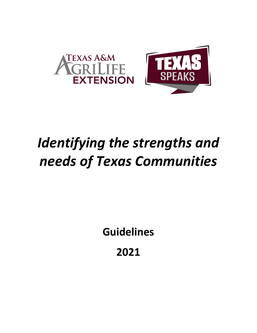

# *Identifying the strengths and needs of Texas Communities*

**Guidelines**

**2021**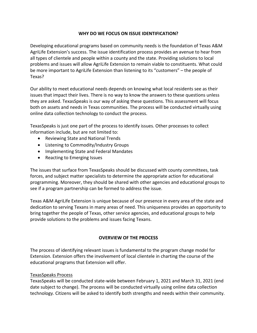## **WHY DO WE FOCUS ON ISSUE IDENTIFICATION?**

Developing educational programs based on community needs is the foundation of Texas A&M AgriLife Extension's success. The issue identification process provides an avenue to hear from all types of clientele and people within a county and the state. Providing solutions to local problems and issues will allow AgriLife Extension to remain viable to constituents. What could be more important to AgriLife Extension than listening to its "customers" – the people of Texas?

Our ability to meet educational needs depends on knowing what local residents see as their issues that impact their lives. There is no way to know the answers to these questions unless they are asked. TexasSpeaks is our way of asking these questions. This assessment will focus both on assets and needs in Texas communities. The process will be conducted virtually using online data collection technology to conduct the process.

TexasSpeaks is just one part of the process to identify issues. Other processes to collect information include, but are not limited to:

- Reviewing State and National Trends
- Listening to Commodity/Industry Groups
- Implementing State and Federal Mandates
- Reacting to Emerging Issues

The issues that surface from TexasSpeaks should be discussed with county committees, task forces, and subject matter specialists to determine the appropriate action for educational programming. Moreover, they should be shared with other agencies and educational groups to see if a program partnership can be formed to address the issue.

Texas A&M AgriLife Extension is unique because of our presence in every area of the state and dedication to serving Texans in many areas of need. This uniqueness provides an opportunity to bring together the people of Texas, other service agencies, and educational groups to help provide solutions to the problems and issues facing Texans.

# **OVERVIEW OF THE PROCESS**

The process of identifying relevant issues is fundamental to the program change model for Extension. Extension offers the involvement of local clientele in charting the course of the educational programs that Extension will offer.

## TexasSpeaks Process

TexasSpeaks will be conducted state-wide between February 1, 2021 and March 31, 2021 (end date subject to change). The process will be conducted virtually using online data collection technology. Citizens will be asked to identify both strengths and needs within their community.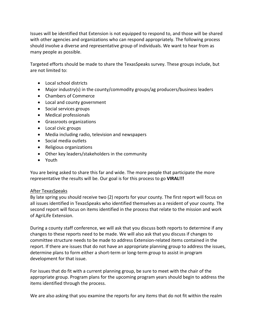Issues will be identified that Extension is not equipped to respond to, and those will be shared with other agencies and organizations who can respond appropriately. The following process should involve a diverse and representative group of individuals. We want to hear from as many people as possible.

Targeted efforts should be made to share the TexasSpeaks survey. These groups include, but are not limited to:

- Local school districts
- Major industry(s) in the county/commodity groups/ag producers/business leaders
- Chambers of Commerce
- Local and county government
- Social services groups
- Medical professionals
- Grassroots organizations
- Local civic groups
- Media including radio, television and newspapers
- Social media outlets
- Religious organizations
- Other key leaders/stakeholders in the community
- Youth

You are being asked to share this far and wide. The more people that participate the more representative the results will be. Our goal is for this process to go **VIRAL!!!**

# After TexasSpeaks

By late spring you should receive two (2) reports for your county. The first report will focus on all issues identified in TexasSpeaks who identified themselves as a resident of your county. The second report will focus on items identified in the process that relate to the mission and work of AgriLife Extension.

During a county staff conference, we will ask that you discuss both reports to determine if any changes to these reports need to be made. We will also ask that you discuss if changes to committee structure needs to be made to address Extension-related items contained in the report. If there are issues that do not have an appropriate planning group to address the issues, determine plans to form either a short-term or long-term group to assist in program development for that issue.

For issues that do fit with a current planning group, be sure to meet with the chair of the appropriate group. Program plans for the upcoming program years should begin to address the items identified through the process.

We are also asking that you examine the reports for any items that do not fit within the realm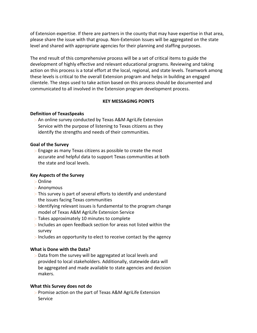of Extension expertise. If there are partners in the county that may have expertise in that area, please share the issue with that group. Non-Extension Issues will be aggregated on the state level and shared with appropriate agencies for their planning and staffing purposes.

The end result of this comprehensive process will be a set of critical items to guide the development of highly effective and relevant educational programs. Reviewing and taking action on this process is a total effort at the local, regional, and state levels. Teamwork among these levels is critical to the overall Extension program and helps in building an engaged clientele. The steps used to take action based on this process should be documented and communicated to all involved in the Extension program development process.

## **KEY MESSAGING POINTS**

## **Definition of TexasSpeaks**

> An online survey conducted by Texas A&M AgriLife Extension Service with the purpose of listening to Texas citizens as they identify the strengths and needs of their communities.

## **Goal of the Survey**

> Engage as many Texas citizens as possible to create the most accurate and helpful data to support Texas communities at both the state and local levels.

## **Key Aspects of the Survey**

- > Online
- > Anonymous
- > This survey is part of several efforts to identify and understand the issues facing Texas communities
- > Identifying relevant issues is fundamental to the program change model of Texas A&M AgriLife Extension Service
- > Takes approximately 10 minutes to complete
- > Includes an open feedback section for areas not listed within the survey
- > Includes an opportunity to elect to receive contact by the agency

# **What is Done with the Data?**

> Data from the survey will be aggregated at local levels and provided to local stakeholders. Additionally, statewide data will be aggregated and made available to state agencies and decision makers.

## **What this Survey does not do**

> Promise action on the part of Texas A&M AgriLife Extension Service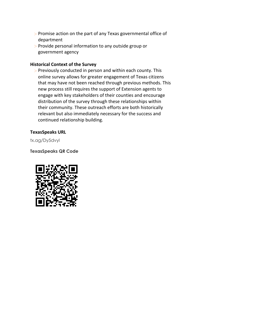- > Promise action on the part of any Texas governmental office of department
- > Provide personal information to any outside group or government agency

## **Historical Context of the Survey**

> Previously conducted in person and within each county. This online survey allows for greater engagement of Texas citizens that may have not been reached through previous methods. This new process still requires the support of Extension agents to engage with key stakeholders of their counties and encourage distribution of the survey through these relationships within their community. These outreach efforts are both historically relevant but also immediately necessary for the success and continued relationship building.

## **TexasSpeaks URL**

tx.ag/Dy5dvyl

**TexasSpeaks QR Code**

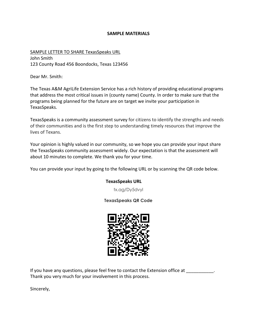#### **SAMPLE MATERIALS**

SAMPLE LETTER TO SHARE TexasSpeaks URL John Smith 123 County Road 456 Boondocks, Texas 123456

Dear Mr. Smith:

The Texas A&M AgriLife Extension Service has a rich history of providing educational programs that address the most critical issues in (county name) County. In order to make sure that the programs being planned for the future are on target we invite your participation in TexasSpeaks.

TexasSpeaks is a community assessment survey for citizens to identify the strengths and needs of their communities and is the first step to understanding timely resources that improve the lives of Texans.

Your opinion is highly valued in our community, so we hope you can provide your input share the TexasSpeaks community assessment widely. Our expectation is that the assessment will about 10 minutes to complete. We thank you for your time.

You can provide your input by going to the following URL or by scanning the QR code below.

## **TexasSpeaks URL**

tx.ag/Dy5dvyl

## **TexasSpeaks QR Code**



If you have any questions, please feel free to contact the Extension office at  $\qquad \qquad$ . Thank you very much for your involvement in this process.

Sincerely,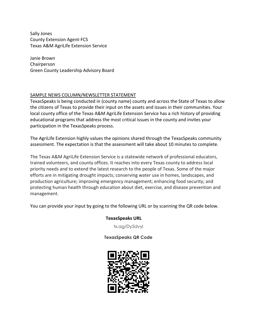Sally Jones County Extension Agent-FCS Texas A&M AgriLife Extension Service

Janie Brown Chairperson Green County Leadership Advisory Board

## SAMPLE NEWS COLUMN/NEWSLETTER STATEMENT

TexasSpeaks is being conducted in (county name) county and across the State of Texas to allow the citizens of Texas to provide their input on the assets and issues in their communities. Your local county office of the Texas A&M AgriLife Extension Service has a rich history of providing educational programs that address the most critical issues in the county and invites your participation in the TexasSpeaks process.

The AgriLife Extension highly values the opinions shared through the TexasSpeaks community assessment. The expectation is that the assessment will take about 10 minutes to complete.

The Texas A&M AgriLife Extension Service is a statewide network of professional educators, trained volunteers, and county offices. It reaches into every Texas county to address local priority needs and to extend the latest research to the people of Texas. Some of the major efforts are in mitigating drought impacts; conserving water use in homes, landscapes, and production agriculture; improving emergency management; enhancing food security; and protecting human health through education about diet, exercise, and disease prevention and management.

You can provide your input by going to the following URL or by scanning the QR code below.

# **TexasSpeaks URL**

tx.ag/Dy5dvyl

**TexasSpeaks QR Code**